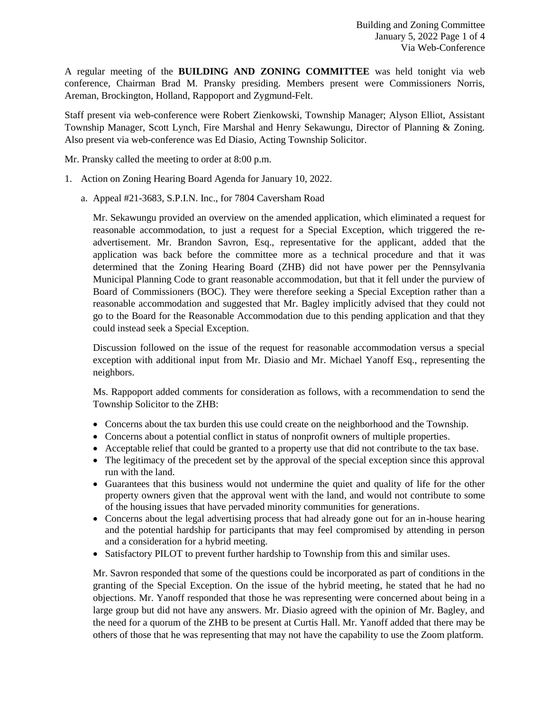A regular meeting of the **BUILDING AND ZONING COMMITTEE** was held tonight via web conference, Chairman Brad M. Pransky presiding. Members present were Commissioners Norris, Areman, Brockington, Holland, Rappoport and Zygmund-Felt.

Staff present via web-conference were Robert Zienkowski, Township Manager; Alyson Elliot, Assistant Township Manager, Scott Lynch, Fire Marshal and Henry Sekawungu, Director of Planning & Zoning. Also present via web-conference was Ed Diasio, Acting Township Solicitor.

Mr. Pransky called the meeting to order at 8:00 p.m.

- 1. Action on Zoning Hearing Board Agenda for January 10, 2022.
	- a. Appeal #21-3683, S.P.I.N. Inc., for 7804 Caversham Road

Mr. Sekawungu provided an overview on the amended application, which eliminated a request for reasonable accommodation, to just a request for a Special Exception, which triggered the readvertisement. Mr. Brandon Savron, Esq., representative for the applicant, added that the application was back before the committee more as a technical procedure and that it was determined that the Zoning Hearing Board (ZHB) did not have power per the Pennsylvania Municipal Planning Code to grant reasonable accommodation, but that it fell under the purview of Board of Commissioners (BOC). They were therefore seeking a Special Exception rather than a reasonable accommodation and suggested that Mr. Bagley implicitly advised that they could not go to the Board for the Reasonable Accommodation due to this pending application and that they could instead seek a Special Exception.

Discussion followed on the issue of the request for reasonable accommodation versus a special exception with additional input from Mr. Diasio and Mr. Michael Yanoff Esq., representing the neighbors.

Ms. Rappoport added comments for consideration as follows, with a recommendation to send the Township Solicitor to the ZHB:

- Concerns about the tax burden this use could create on the neighborhood and the Township.
- Concerns about a potential conflict in status of nonprofit owners of multiple properties.
- Acceptable relief that could be granted to a property use that did not contribute to the tax base.
- The legitimacy of the precedent set by the approval of the special exception since this approval run with the land.
- Guarantees that this business would not undermine the quiet and quality of life for the other property owners given that the approval went with the land, and would not contribute to some of the housing issues that have pervaded minority communities for generations.
- Concerns about the legal advertising process that had already gone out for an in-house hearing and the potential hardship for participants that may feel compromised by attending in person and a consideration for a hybrid meeting.
- Satisfactory PILOT to prevent further hardship to Township from this and similar uses.

Mr. Savron responded that some of the questions could be incorporated as part of conditions in the granting of the Special Exception. On the issue of the hybrid meeting, he stated that he had no objections. Mr. Yanoff responded that those he was representing were concerned about being in a large group but did not have any answers. Mr. Diasio agreed with the opinion of Mr. Bagley, and the need for a quorum of the ZHB to be present at Curtis Hall. Mr. Yanoff added that there may be others of those that he was representing that may not have the capability to use the Zoom platform.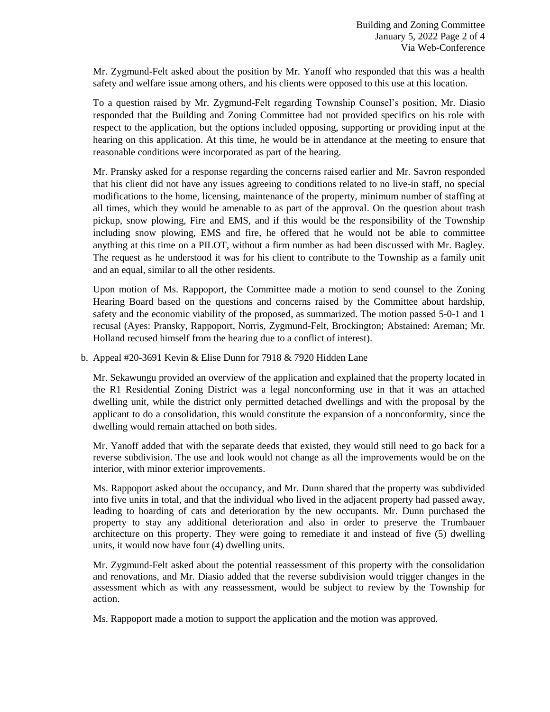Mr. Zygmund-Felt asked about the position by Mr. Yanoff who responded that this was a health safety and welfare issue among others, and his clients were opposed to this use at this location.

To a question raised by Mr. Zygmund-Felt regarding Township Counsel's position, Mr. Diasio responded that the Building and Zoning Committee had not provided specifics on his role with respect to the application, but the options included opposing, supporting or providing input at the hearing on this application. At this time, he would be in attendance at the meeting to ensure that reasonable conditions were incorporated as part of the hearing.

Mr. Pransky asked for a response regarding the concerns raised earlier and Mr. Savron responded that his client did not have any issues agreeing to conditions related to no live-in staff, no special modifications to the home, licensing, maintenance of the property, minimum number of staffing at all times, which they would be amenable to as part of the approval. On the question about trash pickup, snow plowing, Fire and EMS, and if this would be the responsibility of the Township including snow plowing, EMS and fire, he offered that he would not be able to committee anything at this time on a PILOT, without a firm number as had been discussed with Mr. Bagley. The request as he understood it was for his client to contribute to the Township as a family unit and an equal, similar to all the other residents.

Upon motion of Ms. Rappoport, the Committee made a motion to send counsel to the Zoning Hearing Board based on the questions and concerns raised by the Committee about hardship, safety and the economic viability of the proposed, as summarized. The motion passed 5-0-1 and 1 recusal (Ayes: Pransky, Rappoport, Norris, Zygmund-Felt, Brockington; Abstained: Areman; Mr. Holland recused himself from the hearing due to a conflict of interest).

b. Appeal #20-3691 Kevin & Elise Dunn for 7918 & 7920 Hidden Lane

Mr. Sekawungu provided an overview of the application and explained that the property located in the R1 Residential Zoning District was a legal nonconforming use in that it was an attached dwelling unit, while the district only permitted detached dwellings and with the proposal by the applicant to do a consolidation, this would constitute the expansion of a nonconformity, since the dwelling would remain attached on both sides.

Mr. Yanoff added that with the separate deeds that existed, they would still need to go back for a reverse subdivision. The use and look would not change as all the improvements would be on the interior, with minor exterior improvements.

Ms. Rappoport asked about the occupancy, and Mr. Dunn shared that the property was subdivided into five units in total, and that the individual who lived in the adjacent property had passed away, leading to hoarding of cats and deterioration by the new occupants. Mr. Dunn purchased the property to stay any additional deterioration and also in order to preserve the Trumbauer architecture on this property. They were going to remediate it and instead of five (5) dwelling units, it would now have four (4) dwelling units.

Mr. Zygmund-Felt asked about the potential reassessment of this property with the consolidation and renovations, and Mr. Diasio added that the reverse subdivision would trigger changes in the assessment which as with any reassessment, would be subject to review by the Township for action.

Ms. Rappoport made a motion to support the application and the motion was approved.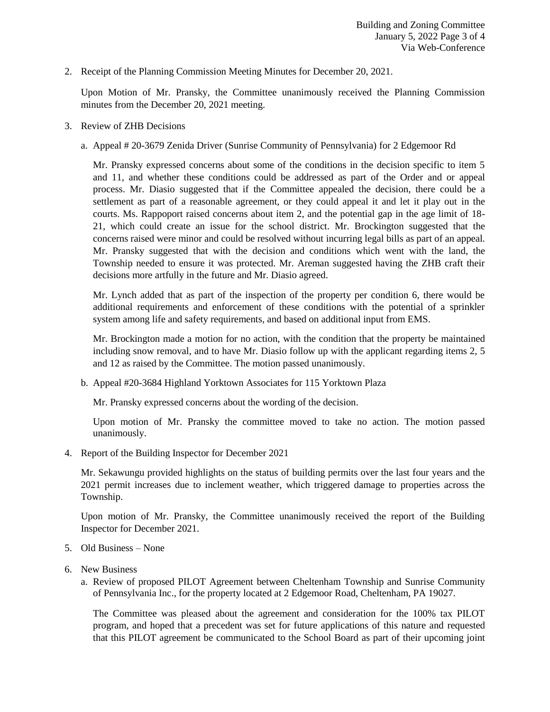2. Receipt of the Planning Commission Meeting Minutes for December 20, 2021.

Upon Motion of Mr. Pransky, the Committee unanimously received the Planning Commission minutes from the December 20, 2021 meeting.

- 3. Review of ZHB Decisions
	- a. Appeal # 20-3679 Zenida Driver (Sunrise Community of Pennsylvania) for 2 Edgemoor Rd

Mr. Pransky expressed concerns about some of the conditions in the decision specific to item 5 and 11, and whether these conditions could be addressed as part of the Order and or appeal process. Mr. Diasio suggested that if the Committee appealed the decision, there could be a settlement as part of a reasonable agreement, or they could appeal it and let it play out in the courts. Ms. Rappoport raised concerns about item 2, and the potential gap in the age limit of 18- 21, which could create an issue for the school district. Mr. Brockington suggested that the concerns raised were minor and could be resolved without incurring legal bills as part of an appeal. Mr. Pransky suggested that with the decision and conditions which went with the land, the Township needed to ensure it was protected. Mr. Areman suggested having the ZHB craft their decisions more artfully in the future and Mr. Diasio agreed.

Mr. Lynch added that as part of the inspection of the property per condition 6, there would be additional requirements and enforcement of these conditions with the potential of a sprinkler system among life and safety requirements, and based on additional input from EMS.

Mr. Brockington made a motion for no action, with the condition that the property be maintained including snow removal, and to have Mr. Diasio follow up with the applicant regarding items 2, 5 and 12 as raised by the Committee. The motion passed unanimously.

b. Appeal #20-3684 Highland Yorktown Associates for 115 Yorktown Plaza

Mr. Pransky expressed concerns about the wording of the decision.

Upon motion of Mr. Pransky the committee moved to take no action. The motion passed unanimously.

4. Report of the Building Inspector for December 2021

Mr. Sekawungu provided highlights on the status of building permits over the last four years and the 2021 permit increases due to inclement weather, which triggered damage to properties across the Township.

Upon motion of Mr. Pransky, the Committee unanimously received the report of the Building Inspector for December 2021.

- 5. Old Business None
- 6. New Business
	- a. Review of proposed PILOT Agreement between Cheltenham Township and Sunrise Community of Pennsylvania Inc., for the property located at 2 Edgemoor Road, Cheltenham, PA 19027.

The Committee was pleased about the agreement and consideration for the 100% tax PILOT program, and hoped that a precedent was set for future applications of this nature and requested that this PILOT agreement be communicated to the School Board as part of their upcoming joint